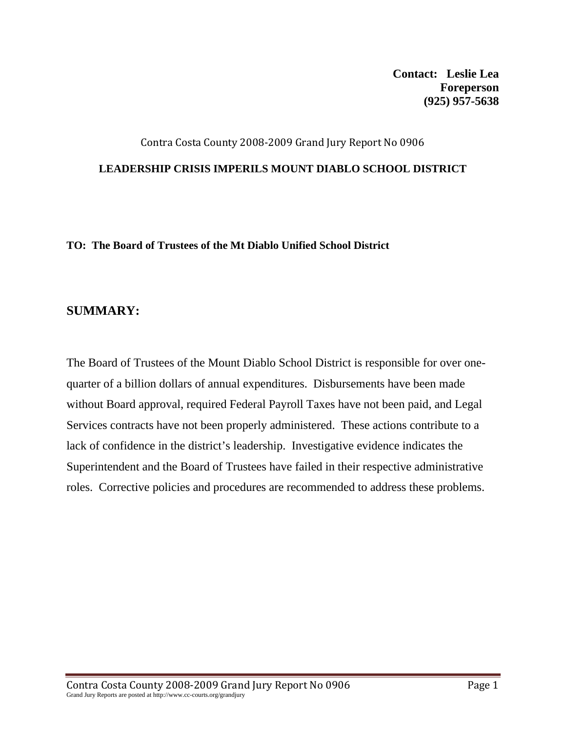**Contact: Leslie Lea Foreperson (925) 957-5638** 

### Contra Costa County 2008‐2009 Grand Jury Report No 0906

#### **LEADERSHIP CRISIS IMPERILS MOUNT DIABLO SCHOOL DISTRICT**

**TO: The Board of Trustees of the Mt Diablo Unified School District** 

### **SUMMARY:**

The Board of Trustees of the Mount Diablo School District is responsible for over onequarter of a billion dollars of annual expenditures. Disbursements have been made without Board approval, required Federal Payroll Taxes have not been paid, and Legal Services contracts have not been properly administered. These actions contribute to a lack of confidence in the district's leadership. Investigative evidence indicates the Superintendent and the Board of Trustees have failed in their respective administrative roles. Corrective policies and procedures are recommended to address these problems.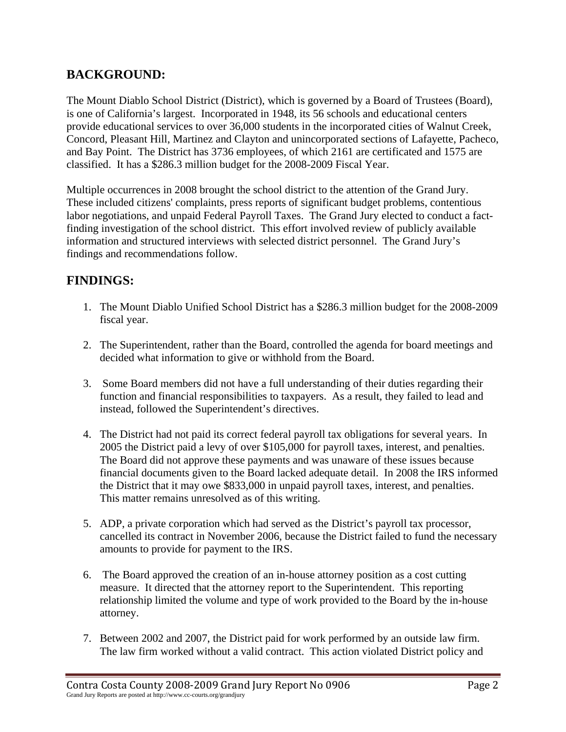# **BACKGROUND:**

The Mount Diablo School District (District), which is governed by a Board of Trustees (Board), is one of California's largest. Incorporated in 1948, its 56 schools and educational centers provide educational services to over 36,000 students in the incorporated cities of Walnut Creek, Concord, Pleasant Hill, Martinez and Clayton and unincorporated sections of Lafayette, Pacheco, and Bay Point. The District has 3736 employees, of which 2161 are certificated and 1575 are classified. It has a \$286.3 million budget for the 2008-2009 Fiscal Year.

Multiple occurrences in 2008 brought the school district to the attention of the Grand Jury. These included citizens' complaints, press reports of significant budget problems, contentious labor negotiations, and unpaid Federal Payroll Taxes. The Grand Jury elected to conduct a factfinding investigation of the school district. This effort involved review of publicly available information and structured interviews with selected district personnel. The Grand Jury's findings and recommendations follow.

## **FINDINGS:**

- 1. The Mount Diablo Unified School District has a \$286.3 million budget for the 2008-2009 fiscal year.
- 2. The Superintendent, rather than the Board, controlled the agenda for board meetings and decided what information to give or withhold from the Board.
- 3. Some Board members did not have a full understanding of their duties regarding their function and financial responsibilities to taxpayers. As a result, they failed to lead and instead, followed the Superintendent's directives.
- 4. The District had not paid its correct federal payroll tax obligations for several years. In 2005 the District paid a levy of over \$105,000 for payroll taxes, interest, and penalties. The Board did not approve these payments and was unaware of these issues because financial documents given to the Board lacked adequate detail. In 2008 the IRS informed the District that it may owe \$833,000 in unpaid payroll taxes, interest, and penalties. This matter remains unresolved as of this writing.
- 5. ADP, a private corporation which had served as the District's payroll tax processor, cancelled its contract in November 2006, because the District failed to fund the necessary amounts to provide for payment to the IRS.
- 6. The Board approved the creation of an in-house attorney position as a cost cutting measure. It directed that the attorney report to the Superintendent. This reporting relationship limited the volume and type of work provided to the Board by the in-house attorney.
- 7. Between 2002 and 2007, the District paid for work performed by an outside law firm. The law firm worked without a valid contract. This action violated District policy and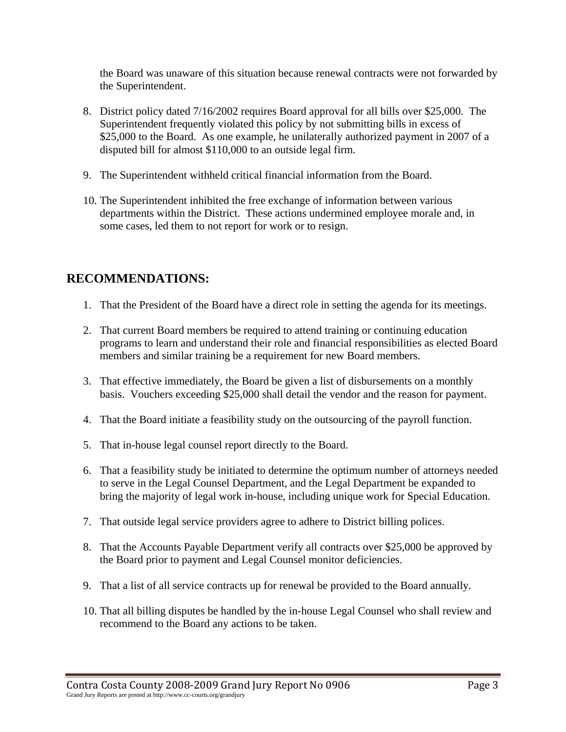the Board was unaware of this situation because renewal contracts were not forwarded by the Superintendent.

- 8. District policy dated 7/16/2002 requires Board approval for all bills over \$25,000. The Superintendent frequently violated this policy by not submitting bills in excess of \$25,000 to the Board. As one example, he unilaterally authorized payment in 2007 of a disputed bill for almost \$110,000 to an outside legal firm.
- 9. The Superintendent withheld critical financial information from the Board.
- 10. The Superintendent inhibited the free exchange of information between various departments within the District. These actions undermined employee morale and, in some cases, led them to not report for work or to resign.

## **RECOMMENDATIONS:**

- 1. That the President of the Board have a direct role in setting the agenda for its meetings.
- 2. That current Board members be required to attend training or continuing education programs to learn and understand their role and financial responsibilities as elected Board members and similar training be a requirement for new Board members.
- 3. That effective immediately, the Board be given a list of disbursements on a monthly basis. Vouchers exceeding \$25,000 shall detail the vendor and the reason for payment.
- 4. That the Board initiate a feasibility study on the outsourcing of the payroll function.
- 5. That in-house legal counsel report directly to the Board.
- 6. That a feasibility study be initiated to determine the optimum number of attorneys needed to serve in the Legal Counsel Department, and the Legal Department be expanded to bring the majority of legal work in-house, including unique work for Special Education.
- 7. That outside legal service providers agree to adhere to District billing polices.
- 8. That the Accounts Payable Department verify all contracts over \$25,000 be approved by the Board prior to payment and Legal Counsel monitor deficiencies.
- 9. That a list of all service contracts up for renewal be provided to the Board annually.
- 10. That all billing disputes be handled by the in-house Legal Counsel who shall review and recommend to the Board any actions to be taken.